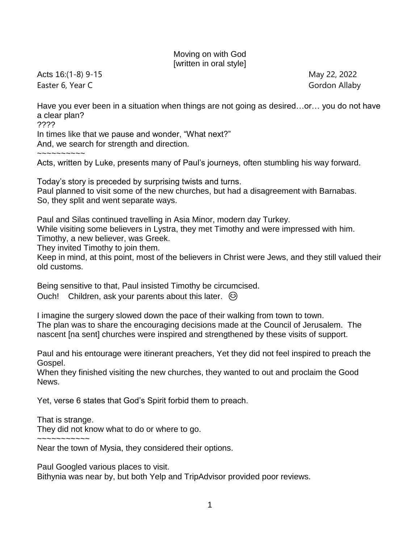## Moving on with God [written in oral style]

Acts 16:(1-8) 9-15 May 22, 2022 Easter 6, Year C Gordon Allaby

Have you ever been in a situation when things are not going as desired…or… you do not have a clear plan? ????

In times like that we pause and wonder, "What next?" And, we search for strength and direction.

~~~~~~~~~~

Acts, written by Luke, presents many of Paul's journeys, often stumbling his way forward.

Today's story is preceded by surprising twists and turns. Paul planned to visit some of the new churches, but had a disagreement with Barnabas. So, they split and went separate ways.

Paul and Silas continued travelling in Asia Minor, modern day Turkey.

While visiting some believers in Lystra, they met Timothy and were impressed with him.

Timothy, a new believer, was Greek.

They invited Timothy to join them.

Keep in mind, at this point, most of the believers in Christ were Jews, and they still valued their old customs.

Being sensitive to that, Paul insisted Timothy be circumcised.

Ouch! Children, ask your parents about this later.  $\odot$ 

I imagine the surgery slowed down the pace of their walking from town to town. The plan was to share the encouraging decisions made at the Council of Jerusalem. The nascent [na sent] churches were inspired and strengthened by these visits of support.

Paul and his entourage were itinerant preachers, Yet they did not feel inspired to preach the Gospel.

When they finished visiting the new churches, they wanted to out and proclaim the Good News.

Yet, verse 6 states that God's Spirit forbid them to preach.

That is strange.

They did not know what to do or where to go.

~~~~~~~~~~~ Near the town of Mysia, they considered their options.

Paul Googled various places to visit.

Bithynia was near by, but both Yelp and TripAdvisor provided poor reviews.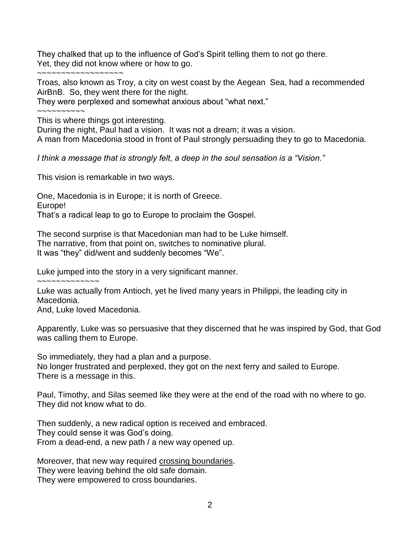They chalked that up to the influence of God's Spirit telling them to not go there. Yet, they did not know where or how to go.

~~~~~~~~~~~~~~~~~~

Troas, also known as Troy, a city on west coast by the Aegean Sea, had a recommended AirBnB. So, they went there for the night.

They were perplexed and somewhat anxious about "what next."

~~~~~~~~~~

This is where things got interesting.

During the night, Paul had a vision. It was not a dream; it was a vision.

A man from Macedonia stood in front of Paul strongly persuading they to go to Macedonia.

*I think a message that is strongly felt, a deep in the soul sensation is a "Vision."*

This vision is remarkable in two ways.

One, Macedonia is in Europe; it is north of Greece. Europe! That's a radical leap to go to Europe to proclaim the Gospel.

The second surprise is that Macedonian man had to be Luke himself. The narrative, from that point on, switches to nominative plural. It was "they" did/went and suddenly becomes "We".

Luke jumped into the story in a very significant manner.

~~~~~~~~~~~~~ Luke was actually from Antioch, yet he lived many years in Philippi, the leading city in Macedonia.

And, Luke loved Macedonia.

Apparently, Luke was so persuasive that they discerned that he was inspired by God, that God was calling them to Europe.

So immediately, they had a plan and a purpose. No longer frustrated and perplexed, they got on the next ferry and sailed to Europe. There is a message in this.

Paul, Timothy, and Silas seemed like they were at the end of the road with no where to go. They did not know what to do.

Then suddenly, a new radical option is received and embraced. They could sense it was God's doing. From a dead-end, a new path / a new way opened up.

Moreover, that new way required crossing boundaries. They were leaving behind the old safe domain. They were empowered to cross boundaries.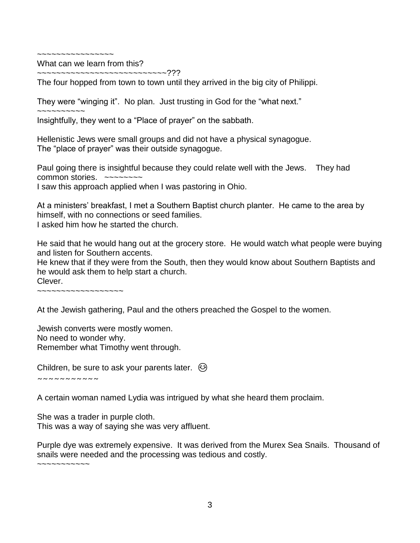~~~~~~~~~~~~~~~~

What can we learn from this? ~~~~~~~~~~~~~~~~~~~~~~~???

The four hopped from town to town until they arrived in the big city of Philippi.

They were "winging it". No plan. Just trusting in God for the "what next."

~~~~~~~~~~ Insightfully, they went to a "Place of prayer" on the sabbath.

Hellenistic Jews were small groups and did not have a physical synagogue. The "place of prayer" was their outside synagogue.

Paul going there is insightful because they could relate well with the Jews. They had common stories. ~~~~~~~~ I saw this approach applied when I was pastoring in Ohio.

At a ministers' breakfast, I met a Southern Baptist church planter. He came to the area by himself, with no connections or seed families. I asked him how he started the church.

He said that he would hang out at the grocery store. He would watch what people were buying and listen for Southern accents.

He knew that if they were from the South, then they would know about Southern Baptists and he would ask them to help start a church.

Clever.

~~~~~~~~~~~~~~~~~~

At the Jewish gathering, Paul and the others preached the Gospel to the women.

Jewish converts were mostly women. No need to wonder why. Remember what Timothy went through.

Children, be sure to ask your parents later.  $\odot$ 

~~~~~~~~~~~

A certain woman named Lydia was intrigued by what she heard them proclaim.

She was a trader in purple cloth. This was a way of saying she was very affluent.

Purple dye was extremely expensive. It was derived from the Murex Sea Snails. Thousand of snails were needed and the processing was tedious and costly.

 $\sim$ ~~~~~~~~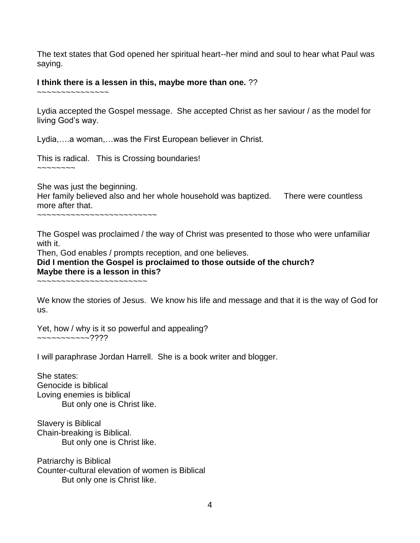The text states that God opened her spiritual heart--her mind and soul to hear what Paul was saying.

## **I think there is a lessen in this, maybe more than one.** ??

~~~~~~~~~~~~~~~

Lydia accepted the Gospel message. She accepted Christ as her saviour / as the model for living God's way.

Lydia,….a woman,…was the First European believer in Christ.

This is radical. This is Crossing boundaries!

 $\sim\sim\sim\sim\sim\sim\sim$ 

She was just the beginning.

Her family believed also and her whole household was baptized. There were countless more after that.

~~~~~~~~~~~~~~~~~~~~~~~~~

The Gospel was proclaimed / the way of Christ was presented to those who were unfamiliar with it.

Then, God enables / prompts reception, and one believes.

**Did I mention the Gospel is proclaimed to those outside of the church? Maybe there is a lesson in this?**

~~~~~~~~~~~~~~~~~~~~~~~

We know the stories of Jesus. We know his life and message and that it is the way of God for us.

Yet, how / why is it so powerful and appealing? ~~~~~~~~~~~????

I will paraphrase Jordan Harrell. She is a book writer and blogger.

She states: Genocide is biblical Loving enemies is biblical But only one is Christ like.

Slavery is Biblical Chain-breaking is Biblical. But only one is Christ like.

Patriarchy is Biblical Counter-cultural elevation of women is Biblical But only one is Christ like.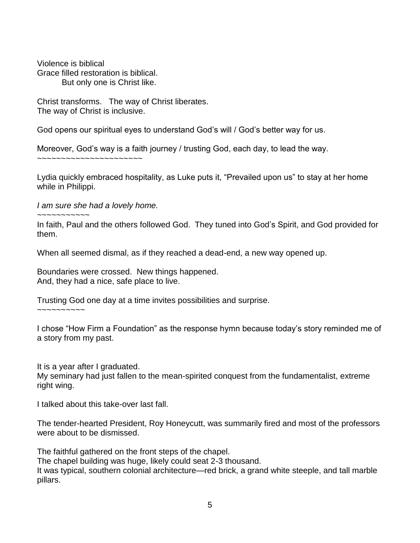Violence is biblical Grace filled restoration is biblical. But only one is Christ like.

Christ transforms. The way of Christ liberates. The way of Christ is inclusive.

God opens our spiritual eyes to understand God's will / God's better way for us.

Moreover, God's way is a faith journey / trusting God, each day, to lead the way.

~~~~~~~~~~~~~~~~~~~~~~

Lydia quickly embraced hospitality, as Luke puts it, "Prevailed upon us" to stay at her home while in Philippi.

*I am sure she had a lovely home.*

 $\sim$   $\sim$   $\sim$   $\sim$   $\sim$   $\sim$   $\sim$   $\sim$ 

In faith, Paul and the others followed God. They tuned into God's Spirit, and God provided for them.

When all seemed dismal, as if they reached a dead-end, a new way opened up.

Boundaries were crossed. New things happened. And, they had a nice, safe place to live.

Trusting God one day at a time invites possibilities and surprise.

~~~~~~~~~~

I chose "How Firm a Foundation" as the response hymn because today's story reminded me of a story from my past.

It is a year after I graduated.

My seminary had just fallen to the mean-spirited conquest from the fundamentalist, extreme right wing.

I talked about this take-over last fall.

The tender-hearted President, Roy Honeycutt, was summarily fired and most of the professors were about to be dismissed.

The faithful gathered on the front steps of the chapel.

The chapel building was huge, likely could seat 2-3 thousand.

It was typical, southern colonial architecture—red brick, a grand white steeple, and tall marble pillars.